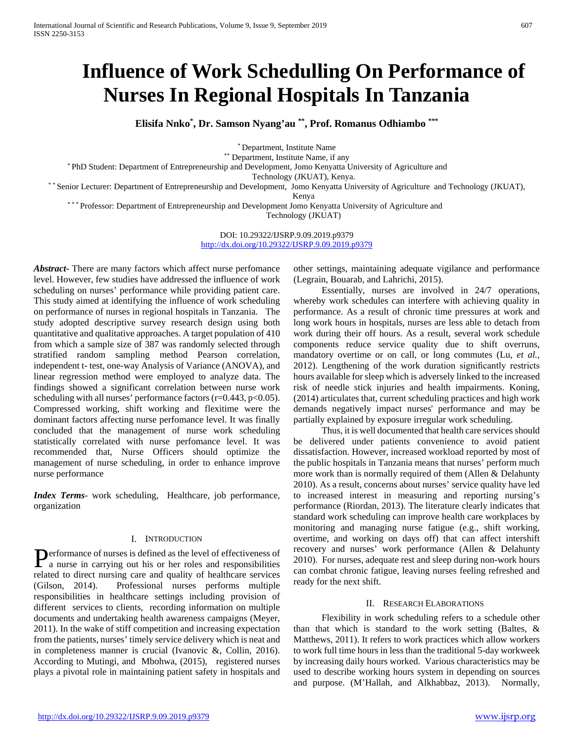# **Influence of Work Schedulling On Performance of Nurses In Regional Hospitals In Tanzania**

**Elisifa Nnko\* , Dr. Samson Nyang'au \*\*, Prof. Romanus Odhiambo \*\*\***

\* Department, Institute Name

\*\* Department, Institute Name, if any

\* PhD Student: Department of Entrepreneurship and Development, Jomo Kenyatta University of Agriculture and

Technology (JKUAT), Kenya.

\* \* Senior Lecturer: Department of Entrepreneurship and Development, Jomo Kenyatta University of Agriculture and Technology (JKUAT),

Kenya

\*\*\* Professor: Department of Entrepreneurship and Development Jomo Kenyatta University of Agriculture and

Technology (JKUAT)

DOI: 10.29322/IJSRP.9.09.2019.p9379 <http://dx.doi.org/10.29322/IJSRP.9.09.2019.p9379>

*Abstract***-** There are many factors which affect nurse perfomance level. However, few studies have addressed the influence of work scheduling on nurses' performance while providing patient care. This study aimed at identifying the influence of work scheduling on performance of nurses in regional hospitals in Tanzania. The study adopted descriptive survey research design using both quantitative and qualitative approaches. A target population of 410 from which a sample size of 387 was randomly selected through stratified random sampling method Pearson correlation, independent t- test, one-way Analysis of Variance (ANOVA), and linear regression method were employed to analyze data. The findings showed a significant correlation between nurse work scheduling with all nurses' performance factors  $(r=0.443, p<0.05)$ . Compressed working, shift working and flexitime were the dominant factors affecting nurse perfomance level. It was finally concluded that the management of nurse work scheduling statistically correlated with nurse perfomance level. It was recommended that, Nurse Officers should optimize the management of nurse scheduling, in order to enhance improve nurse performance

*Index Terms*- work scheduling, Healthcare, job performance, organization

### I. INTRODUCTION

erformance of nurses is defined as the level of effectiveness of **P**erformance of nurses is defined as the level of effectiveness of a nurse in carrying out his or her roles and responsibilities related to direct nursing care and quality of healthcare services (Gilson, 2014). Professional nurses performs multiple responsibilities in healthcare settings including provision of different services to clients, recording information on multiple documents and undertaking health awareness campaigns (Meyer, 2011). In the wake of stiff competition and increasing expectation from the patients, nurses' timely service delivery which is neat and in completeness manner is crucial (Ivanovic &, Collin, 2016). According to Mutingi, and Mbohwa, (2015), registered nurses plays a pivotal role in maintaining patient safety in hospitals and

other settings, maintaining adequate vigilance and performance (Legrain, Bouarab, and Lahrichi, 2015).

 Essentially, nurses are involved in 24/7 operations, whereby work schedules can interfere with achieving quality in performance. As a result of chronic time pressures at work and long work hours in hospitals, nurses are less able to detach from work during their off hours. As a result, several work schedule components reduce service quality due to shift overruns, mandatory overtime or on call, or long commutes (Lu, *et al.,* 2012). Lengthening of the work duration significantly restricts hours available for sleep which is adversely linked to the increased risk of needle stick injuries and health impairments. Koning, (2014) articulates that, current scheduling practices and high work demands negatively impact nurses' performance and may be partially explained by exposure irregular work scheduling.

 Thus, it is well documented that health care services should be delivered under patients convenience to avoid patient dissatisfaction. However, increased workload reported by most of the public hospitals in Tanzania means that nurses' perform much more work than is normally required of them (Allen & Delahunty 2010). As a result, concerns about nurses' service quality have led to increased interest in measuring and reporting nursing's performance (Riordan, 2013). The literature clearly indicates that standard work scheduling can improve health care workplaces by monitoring and managing nurse fatigue (e.g., shift working, overtime, and working on days off) that can affect intershift recovery and nurses' work performance (Allen & Delahunty 2010). For nurses, adequate rest and sleep during non-work hours can combat chronic fatigue, leaving nurses feeling refreshed and ready for the next shift.

# II. RESEARCH ELABORATIONS

 Flexibility in work scheduling refers to a schedule other than that which is standard to the work setting (Baltes, & Matthews, 2011). It refers to work practices which allow workers to work full time hours in less than the traditional 5-day workweek by increasing daily hours worked. Various characteristics may be used to describe working hours system in depending on sources and purpose. (M'Hallah, and Alkhabbaz, 2013). Normally,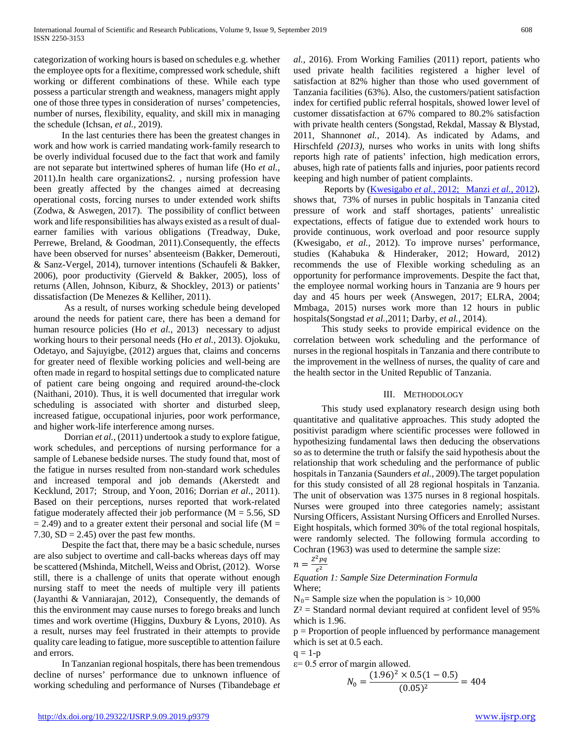categorization of working hours is based on schedules e.g. whether the employee opts for a flexitime, compressed work schedule, shift working or different combinations of these. While each type possess a particular strength and weakness, managers might apply one of those three types in consideration of nurses' competencies, number of nurses, flexibility, equality, and skill mix in managing the schedule (Ichsan, *et al.,* 2019).

 In the last centuries there has been the greatest changes in work and how work is carried mandating work-family research to be overly individual focused due to the fact that work and family are not separate but intertwined spheres of human life (Ho *et al.,* 2011).In health care organizations2. , nursing profession have been greatly affected by the changes aimed at decreasing operational costs, forcing nurses to under extended work shifts (Zodwa, & Aswegen, 2017). The possibility of conflict between work and life responsibilities has always existed as a result of dualearner families with various obligations (Treadway, Duke, Perrewe, Breland, & Goodman, 2011).Consequently, the effects have been observed for nurses' absenteeism (Bakker, Demerouti, & Sanz-Vergel, 2014), turnover intentions (Schaufeli & Bakker, 2006), poor productivity (Gierveld & Bakker, 2005), loss of returns (Allen, Johnson, Kiburz, & Shockley, 2013) or patients' dissatisfaction (De Menezes & Kelliher, 2011).

 As a result, of nurses working schedule being developed around the needs for patient care, there has been a demand for human resource policies (Ho *et al.,* 2013) necessary to adjust working hours to their personal needs (Ho *et al.,* 2013). Ojokuku, Odetayo, and Sajuyigbe, (2012) argues that, claims and concerns for greater need of flexible working policies and well-being are often made in regard to hospital settings due to complicated nature of patient care being ongoing and required around-the-clock (Naithani, 2010). Thus, it is well documented that irregular work scheduling is associated with shorter and disturbed sleep, increased fatigue, occupational injuries, poor work performance, and higher work-life interference among nurses.

 Dorrian *et al.,* (2011) undertook a study to explore fatigue, work schedules, and perceptions of nursing performance for a sample of Lebanese bedside nurses. The study found that, most of the fatigue in nurses resulted from non-standard work schedules and increased temporal and job demands (Akerstedt and Kecklund, 2017; Stroup, and Yoon, 2016; Dorrian *et al*., 2011). Based on their perceptions, nurses reported that work-related fatigue moderately affected their job performance  $(M = 5.56, SD)$  $= 2.49$ ) and to a greater extent their personal and social life (M = 7.30,  $SD = 2.45$  over the past few months.

 Despite the fact that, there may be a basic schedule, nurses are also subject to overtime and call-backs whereas days off may be scattered (Mshinda, Mitchell, Weiss and Obrist, (2012). Worse still, there is a challenge of units that operate without enough nursing staff to meet the needs of multiple very ill patients (Jayanthi & Vanniarajan, 2012), Consequently, the demands of this the environment may cause nurses to forego breaks and lunch times and work overtime (Higgins, Duxbury & Lyons, 2010). As a result, nurses may feel frustrated in their attempts to provide quality care leading to fatigue, more susceptible to attention failure and errors.

 In Tanzanian regional hospitals, there has been tremendous decline of nurses' performance due to unknown influence of working scheduling and performance of Nurses (Tibandebage *et*  *al.,* 2016). From Working Families (2011) report, patients who used private health facilities registered a higher level of satisfaction at 82% higher than those who used government of Tanzania facilities (63%). Also, the customers/patient satisfaction index for certified public referral hospitals, showed lower level of customer dissatisfaction at 67% compared to 80.2% satisfaction with private health centers (Songstad, Rekdal, Massay & Blystad, 2011, Shannon*et al.,* 2014). As indicated by Adams, and Hirschfeld *(2013),* nurses who works in units with long shifts reports high rate of patients' infection, high medication errors, abuses, high rate of patients falls and injuries, poor patients record keeping and high number of patient complaints.

 Reports by (Kwesigabo *et al.*[, 2012; Manzi](https://www.sciencedirect.com/science/article/pii/S2214139115000189#b0070) *et al.,* 2012), shows that, 73% of nurses in public hospitals in Tanzania cited pressure of work and staff shortages, patients' unrealistic expectations, effects of fatigue due to extended work hours to provide continuous, work overload and poor resource supply (Kwesigabo, *et al.,* 2012). To improve nurses' performance, studies (Kahabuka & Hinderaker, 2012; Howard, 2012) recommends the use of Flexible working scheduling as an opportunity for performance improvements. Despite the fact that, the employee normal working hours in Tanzania are 9 hours per day and 45 hours per week (Answegen, 2017; ELRA, 2004; Mmbaga, 2015) nurses work more than 12 hours in public hospitals(Songstad *et al.,*2011; Darby, *et al.,* 2014).

 This study seeks to provide empirical evidence on the correlation between work scheduling and the performance of nurses in the regional hospitals in Tanzania and there contribute to the improvement in the wellness of nurses, the quality of care and the health sector in the United Republic of Tanzania.

# III. METHODOLOGY

 This study used explanatory research design using both quantitative and qualitative approaches. This study adopted the positivist paradigm where scientific processes were followed in hypothesizing fundamental laws then deducing the observations so as to determine the truth or falsify the said hypothesis about the relationship that work scheduling and the performance of public hospitals in Tanzania (Saunders *et al.,* 2009).The target population for this study consisted of all 28 regional hospitals in Tanzania. The unit of observation was 1375 nurses in 8 regional hospitals. Nurses were grouped into three categories namely; assistant Nursing Officers, Assistant Nursing Officers and Enrolled Nurses. Eight hospitals, which formed 30% of the total regional hospitals, were randomly selected. The following formula according to Cochran (1963) was used to determine the sample size:

$$
n = \frac{Z^2pq}{s^2}
$$

2 *Equation 1: Sample Size Determination Formula* Where;

 $N_0$ = Sample size when the population is > 10,000

 $Z^2$  = Standard normal deviant required at confident level of 95% which is 1.96.

 $p =$  Proportion of people influenced by performance management which is set at 0.5 each.

$$
q = 1-p
$$

 $\varepsilon$ = 0.5 error of margin allowed.

$$
N_0 = \frac{(1.96)^2 \times 0.5(1 - 0.5)}{(0.05)^2} = 404
$$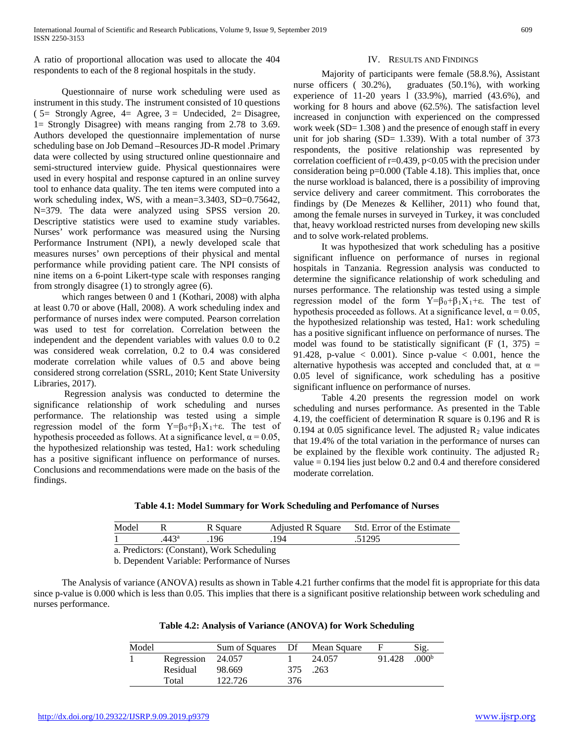A ratio of proportional allocation was used to allocate the 404 respondents to each of the 8 regional hospitals in the study.

 Questionnaire of nurse work scheduling were used as instrument in this study. The instrument consisted of 10 questions  $(5=$  Strongly Agree,  $4=$  Agree,  $3=$  Undecided,  $2=$  Disagree, 1= Strongly Disagree) with means ranging from 2.78 to 3.69. Authors developed the questionnaire implementation of nurse scheduling base on Job Demand –Resources JD-R model .Primary data were collected by using structured online questionnaire and semi-structured interview guide. Physical questionnaires were used in every hospital and response captured in an online survey tool to enhance data quality. The ten items were computed into a work scheduling index, WS, with a mean=3.3403, SD=0.75642, N=379. The data were analyzed using SPSS version 20. Descriptive statistics were used to examine study variables. Nurses' work performance was measured using the Nursing Performance Instrument (NPI), a newly developed scale that measures nurses' own perceptions of their physical and mental performance while providing patient care. The NPI consists of nine items on a 6-point Likert-type scale with responses ranging from strongly disagree (1) to strongly agree (6).

 which ranges between 0 and 1 (Kothari, 2008) with alpha at least 0.70 or above (Hall, 2008). A work scheduling index and performance of nurses index were computed. Pearson correlation was used to test for correlation. Correlation between the independent and the dependent variables with values 0.0 to 0.2 was considered weak correlation, 0.2 to 0.4 was considered moderate correlation while values of 0.5 and above being considered strong correlation (SSRL, 2010; Kent State University Libraries, 2017).

 Regression analysis was conducted to determine the significance relationship of work scheduling and nurses performance. The relationship was tested using a simple regression model of the form  $Y = \beta_0 + \beta_1 X_1 + \epsilon$ . The test of hypothesis proceeded as follows. At a significance level,  $\alpha = 0.05$ , the hypothesized relationship was tested, Ha1: work scheduling has a positive significant influence on performance of nurses. Conclusions and recommendations were made on the basis of the findings.

# IV. RESULTS AND FINDINGS

 Majority of participants were female (58.8.%), Assistant nurse officers ( 30.2%), graduates (50.1%), with working experience of  $11-20$  years  $1$  (33.9%), married (43.6%), and working for 8 hours and above (62.5%). The satisfaction level increased in conjunction with experienced on the compressed work week (SD= 1.308) and the presence of enough staff in every unit for job sharing (SD= 1.339). With a total number of 373 respondents, the positive relationship was represented by correlation coefficient of  $r=0.439$ ,  $p<0.05$  with the precision under consideration being p=0.000 (Table 4.18). This implies that, once the nurse workload is balanced, there is a possibility of improving service delivery and career commitment. This corroborates the findings by (De Menezes & Kelliher, 2011) who found that, among the female nurses in surveyed in Turkey, it was concluded that, heavy workload restricted nurses from developing new skills and to solve work-related problems.

 It was hypothesized that work scheduling has a positive significant influence on performance of nurses in regional hospitals in Tanzania. Regression analysis was conducted to determine the significance relationship of work scheduling and nurses performance. The relationship was tested using a simple regression model of the form  $Y = \beta_0 + \beta_1 X_1 + \varepsilon$ . The test of hypothesis proceeded as follows. At a significance level,  $\alpha = 0.05$ , the hypothesized relationship was tested, Ha1: work scheduling has a positive significant influence on performance of nurses. The model was found to be statistically significant  $(F (1, 375)) =$ 91.428, p-value  $< 0.001$ ). Since p-value  $< 0.001$ , hence the alternative hypothesis was accepted and concluded that, at  $\alpha$  = 0.05 level of significance, work scheduling has a positive significant influence on performance of nurses.

 Table 4.20 presents the regression model on work scheduling and nurses performance. As presented in the Table 4.19, the coefficient of determination R square is 0.196 and R is 0.194 at 0.05 significance level. The adjusted  $R_2$  value indicates that 19.4% of the total variation in the performance of nurses can be explained by the flexible work continuity. The adjusted  $R_2$ value = 0.194 lies just below 0.2 and 0.4 and therefore considered moderate correlation.

**Table 4.1: Model Summary for Work Scheduling and Perfomance of Nurses**

| Model                                      |       | R Square | <b>Adjusted R Square</b> | Std. Error of the Estimate |  |  |  |  |  |
|--------------------------------------------|-------|----------|--------------------------|----------------------------|--|--|--|--|--|
|                                            | .443ª | -196     | .194                     | .51295                     |  |  |  |  |  |
| a. Predictors: (Constant), Work Scheduling |       |          |                          |                            |  |  |  |  |  |

b. Dependent Variable: Performance of Nurses

 The Analysis of variance (ANOVA) results as shown in Table 4.21 further confirms that the model fit is appropriate for this data since p-value is 0.000 which is less than 0.05. This implies that there is a significant positive relationship between work scheduling and nurses performance.

| Table 4.2: Analysis of Variance (ANOVA) for Work Scheduling |  |  |
|-------------------------------------------------------------|--|--|
|-------------------------------------------------------------|--|--|

| Model |            | Sum of Squares Df |     | Mean Square |        | Sig               |
|-------|------------|-------------------|-----|-------------|--------|-------------------|
|       | Regression | 24.057            |     | 24.057      | 91.428 | .000 <sup>b</sup> |
|       | Residual   | 98.669            | 375 | .263        |        |                   |
|       | Total      | 122.726           | 376 |             |        |                   |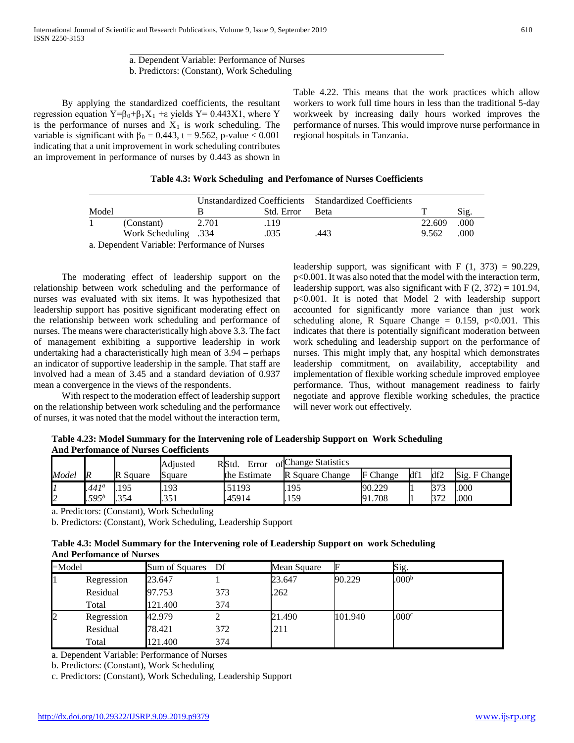# a. Dependent Variable: Performance of Nurses

b. Predictors: (Constant), Work Scheduling

 By applying the standardized coefficients, the resultant regression equation  $Y = \beta_0 + \beta_1 X_1 + \varepsilon$  yields  $Y = 0.443X1$ , where Y is the performance of nurses and  $X_1$  is work scheduling. The variable is significant with  $\beta_0 = 0.443$ , t = 9.562, p-value < 0.001 indicating that a unit improvement in work scheduling contributes an improvement in performance of nurses by 0.443 as shown in Table 4.22. This means that the work practices which allow workers to work full time hours in less than the traditional 5-day workweek by increasing daily hours worked improves the performance of nurses. This would improve nurse performance in regional hospitals in Tanzania.

### **Table 4.3: Work Scheduling and Perfomance of Nurses Coefficients**

|                    |                                                                                            | Unstandardized Coefficients Standardized Coefficients |            |             |        |      |
|--------------------|--------------------------------------------------------------------------------------------|-------------------------------------------------------|------------|-------------|--------|------|
| Model              |                                                                                            |                                                       | Std. Error | <b>Beta</b> |        | S1g. |
|                    | (Constant)                                                                                 | 2.701                                                 | .119       |             | 22.609 | .000 |
|                    | <b>Work Scheduling</b> .334                                                                |                                                       | .035       | .443        | 9.562  | .000 |
| $\mathbf{\bar{r}}$ | $\mathbf{1}$ $\mathbf{1}$ $\mathbf{1}$ $\mathbf{1}$ $\mathbf{1}$ $\mathbf{1}$ $\mathbf{1}$ |                                                       |            |             |        |      |

a. Dependent Variable: Performance of Nurses

 The moderating effect of leadership support on the relationship between work scheduling and the performance of nurses was evaluated with six items. It was hypothesized that leadership support has positive significant moderating effect on the relationship between work scheduling and performance of nurses. The means were characteristically high above 3.3. The fact of management exhibiting a supportive leadership in work undertaking had a characteristically high mean of 3.94 – perhaps an indicator of supportive leadership in the sample. That staff are involved had a mean of 3.45 and a standard deviation of 0.937 mean a convergence in the views of the respondents.

 With respect to the moderation effect of leadership support on the relationship between work scheduling and the performance of nurses, it was noted that the model without the interaction term,

leadership support, was significant with F  $(1, 373) = 90.229$ , p<0.001. It was also noted that the model with the interaction term, leadership support, was also significant with  $F(2, 372) = 101.94$ , p<0.001. It is noted that Model 2 with leadership support accounted for significantly more variance than just work scheduling alone, R Square Change =  $0.159$ , p<0.001. This indicates that there is potentially significant moderation between work scheduling and leadership support on the performance of nurses. This might imply that, any hospital which demonstrates leadership commitment, on availability, acceptability and implementation of flexible working schedule improved employee performance. Thus, without management readiness to fairly negotiate and approve flexible working schedules, the practice will never work out effectively.

**Table 4.23: Model Summary for the Intervening role of Leadership Support on Work Scheduling And Perfomance of Nurses Coefficients**

|              |                   |                 | Adiusted | R <sub>Std</sub><br>Error | of Change Statistics |          |     |            |               |
|--------------|-------------------|-----------------|----------|---------------------------|----------------------|----------|-----|------------|---------------|
| Model        | R                 | <b>R</b> Square | Square   | the Estimate              | R Square Change      | F Change | df1 | df2        | Sig. F Change |
| IJ           | .441 <sup>a</sup> | 195             | 193      | .51193                    | 195                  | 90.229   |     | 373        | .000          |
| $\mathbf{z}$ | $595^b$           | .354            | 251      | .45914                    | .159                 | 91.708   |     | $27^\circ$ | .000          |

a. Predictors: (Constant), Work Scheduling

b. Predictors: (Constant), Work Scheduling, Leadership Support

| Table 4.3: Model Summary for the Intervening role of Leadership Support on work Scheduling |  |
|--------------------------------------------------------------------------------------------|--|
| <b>And Perfomance of Nurses</b>                                                            |  |

| $=$ Model |            | Sum of Squares | Df  | Mean Square |         | Sig.              |
|-----------|------------|----------------|-----|-------------|---------|-------------------|
|           | Regression | 23.647         |     | 23.647      | 90.229  | .000 <sup>b</sup> |
|           | Residual   | 97.753         | 373 | .262        |         |                   |
|           | Total      | 121.400        | 374 |             |         |                   |
| 2         | Regression | 42.979         |     | 21.490      | 101.940 | .000c             |
|           | Residual   | 78.421         | 372 | 211         |         |                   |
|           | Total      | 121.400        | 374 |             |         |                   |

a. Dependent Variable: Performance of Nurses

b. Predictors: (Constant), Work Scheduling

c. Predictors: (Constant), Work Scheduling, Leadership Support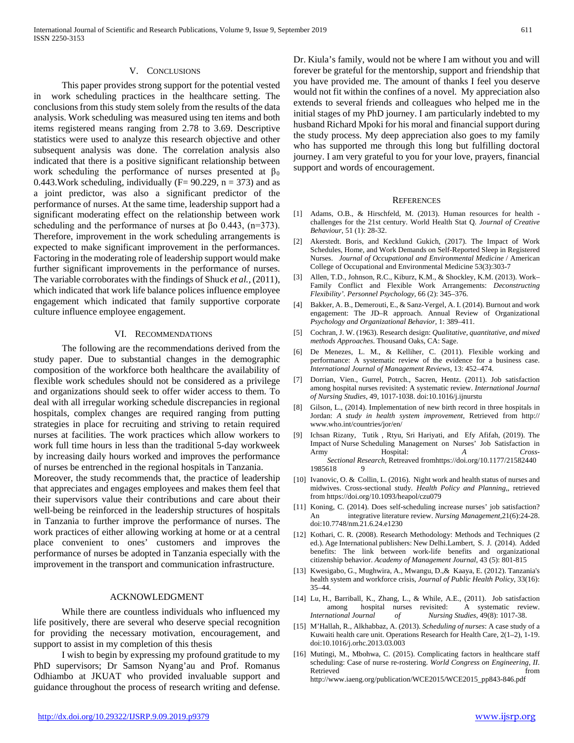#### V. CONCLUSIONS

 This paper provides strong support for the potential vested in work scheduling practices in the healthcare setting. The conclusions from this study stem solely from the results of the data analysis. Work scheduling was measured using ten items and both items registered means ranging from 2.78 to 3.69. Descriptive statistics were used to analyze this research objective and other subsequent analysis was done. The correlation analysis also indicated that there is a positive significant relationship between work scheduling the performance of nurses presented at  $\beta_0$ 0.443. Work scheduling, individually ( $F= 90.229$ , n = 373) and as a joint predictor, was also a significant predictor of the performance of nurses. At the same time, leadership support had a significant moderating effect on the relationship between work scheduling and the performance of nurses at  $\beta$ o 0.443, (n=373). Therefore, improvement in the work scheduling arrangements is expected to make significant improvement in the performances. Factoring in the moderating role of leadership support would make further significant improvements in the performance of nurses. The variable corroborates with the findings of Shuck *et al.,* (2011), which indicated that work life balance polices influence employee engagement which indicated that family supportive corporate culture influence employee engagement.

#### VI. RECOMMENDATIONS

 The following are the recommendations derived from the study paper. Due to substantial changes in the demographic composition of the workforce both healthcare the availability of flexible work schedules should not be considered as a privilege and organizations should seek to offer wider access to them. To deal with all irregular working schedule discrepancies in regional hospitals, complex changes are required ranging from putting strategies in place for recruiting and striving to retain required nurses at facilities. The work practices which allow workers to work full time hours in less than the traditional 5-day workweek by increasing daily hours worked and improves the performance of nurses be entrenched in the regional hospitals in Tanzania.

Moreover, the study recommends that, the practice of leadership that appreciates and engages employees and makes them feel that their supervisors value their contributions and care about their well-being be reinforced in the leadership structures of hospitals in Tanzania to further improve the performance of nurses. The work practices of either allowing working at home or at a central place convenient to ones' customers and improves the performance of nurses be adopted in Tanzania especially with the improvement in the transport and communication infrastructure.

#### ACKNOWLEDGMENT

 While there are countless individuals who influenced my life positively, there are several who deserve special recognition for providing the necessary motivation, encouragement, and support to assist in my completion of this thesis

 I wish to begin by expressing my profound gratitude to my PhD supervisors; Dr Samson Nyang'au and Prof. Romanus Odhiambo at JKUAT who provided invaluable support and guidance throughout the process of research writing and defense.

http://dx.doi.org/1<u>0.29322/IJSRP.9.09.2019.p9379</u> [www.ijsrp.org](http://ijsrp.org/)

Dr. Kiula's family, would not be where I am without you and will forever be grateful for the mentorship, support and friendship that you have provided me. The amount of thanks I feel you deserve would not fit within the confines of a novel. My appreciation also extends to several friends and colleagues who helped me in the initial stages of my PhD journey. I am particularly indebted to my husband Richard Mpoki for his moral and financial support during the study process. My deep appreciation also goes to my family who has supported me through this long but fulfilling doctoral journey. I am very grateful to you for your love, prayers, financial support and words of encouragement.

#### **REFERENCES**

- [1] Adams, O.B., & Hirschfeld, M. (2013). Human resources for health challenges for the 21st century. World Health Stat Q. *Journal of Creative Behaviour*, 51 (1): 28-32.
- [2] Akerstedt. Boris, and Kecklund Gukich, (2017). The Impact of Work Schedules, Home, and Work Demands on Self-Reported Sleep in Registered Nurses. *Journal of Occupational and Environmental Medicine* / American College of Occupational and Environmental Medicine 53(3):303-7
- [3] Allen, T.D., Johnson, R.C., Kiburz, K.M., & Shockley, K.M. (2013). Work– Family Conflict and Flexible Work Arrangements: *Deconstructing Flexibility'. Personnel Psychology,* 66 (2): 345–376.
- [4] Bakker, A. B., Demerouti, E., & Sanz-Vergel, A. I. (2014). Burnout and work engagement: The JD–R approach. Annual Review of Organizational *Psychology and Organizational Behavior,* 1: 389–411.
- [5] Cochran, J. W. (1963). Research design: *Qualitative, quantitative, and mixed methods Approaches*. Thousand Oaks, CA: Sage.
- [6] De Menezes, L. M., & Kelliher, C. (2011). Flexible working and performance: A systematic review of the evidence for a business case. *International Journal of Management Reviews*, 13: 452–474.
- [7] Dorrian, Vien., Gurrel, Potrch., Sacren, Hentz. (2011). Job satisfaction among hospital nurses revisited: A systematic review. *International Journal of Nursing Studies*, 49, 1017-1038. doi:10.1016/j.ijnurstu
- [8] Gilson, L., (2014). Implementation of new birth record in three hospitals in Jordan: *A study in health system improvement*, Retrieved from http:// www.who.int/countries/jor/en/
- [9] Ichsan Rizany, Tutik , Rtyu, Sri Hariyati, and Efy Afifah, (2019). The Impact of Nurse Scheduling Management on Nurses' Job Satisfaction in Army Hospital: *A Cross-Sectional Research*, Retreaved fromhttps://doi.org/10.1177/21582440 1985618
- [10] Ivanovic, O. & Collin, L. (2016). Night work and health status of nurses and midwives. Cross-sectional study*. Health Policy and Planning*,, retrieved from<https://doi.org/10.1093/heapol/czu079>
- [11] Koning, C. (2014). Does self-scheduling increase nurses' job satisfaction? An integrative literature review. *Nursing Management,*21(6):24-28. doi:10.7748/nm.21.6.24.e1230
- [12] Kothari, C. R. (2008). Research Methodology: Methods and Techniques (2 ed.). Age International publishers: New Delhi.Lambert, S. J. (2014). Added benefits: The link between work-life benefits and organizational citizenship behavior. *Academy of Management Journal*, 43 (5): 801-815
- [13] Kwesigabo, G., Mughwira, A., Mwangu, D.,& Kaaya, E. (2012). Tanzania's health system and workforce crisis, *Journal of Public Health Policy*, 33(16): 35–44.
- [14] Lu, H., Barriball, K., Zhang, L., & While, A.E., (2011). Job satisfaction among hospital nurses revisited: A systematic review. *International Journal of Nursing Studies*, 49(8): 1017-38.
- [15] M'Hallah, R., Alkhabbaz, A. (2013). *Scheduling of nurses*: A case study of a Kuwaiti health care unit. Operations Research for Health Care, 2(1–2), 1-19. doi:10.1016/j.orhc.2013.03.003
- [16] Mutingi, M., Mbohwa, C. (2015). Complicating factors in healthcare staff scheduling: Case of nurse re-rostering. *World Congress on Engineering, II*. Retrieved from  $\blacksquare$ http://www.iaeng.org/publication/WCE2015/WCE2015\_pp843-846.pdf